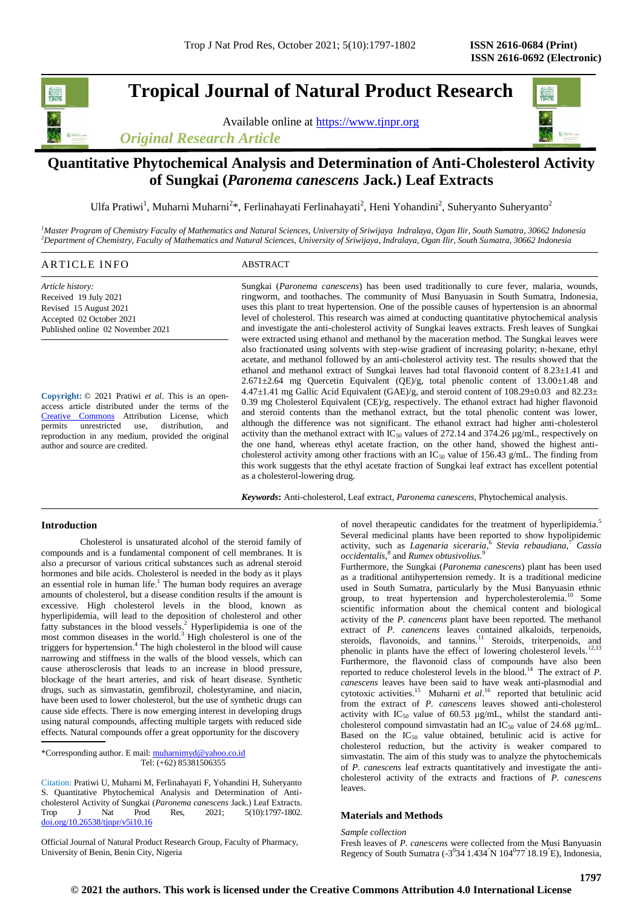# **Tropical Journal of Natural Product Research**

Available online at [https://www.tjnpr.org](https://www.tjnpr.org/)





# **Quantitative Phytochemical Analysis and Determination of Anti-Cholesterol Activity of Sungkai (***Paronema canescens* **Jack.) Leaf Extracts**

Ulfa Pratiwi<sup>1</sup>, Muharni Muharni<sup>2\*</sup>, Ferlinahayati Ferlinahayati<sup>2</sup>, Heni Yohandini<sup>2</sup>, Suheryanto Suheryanto<sup>2</sup>

*<sup>1</sup>Master Program of Chemistry Faculty of Mathematics and Natural Sciences, University of Sriwijaya Indralaya, Ogan Ilir, South Sumatra, 30662 Indonesia <sup>2</sup>Department of Chemistry, Faculty of Mathematics and Natural Sciences, University of Sriwijaya, Indralaya, Ogan Ilir, South Sumatra, 30662 Indonesia*

| $^{\bullet}$ NEO<br>A R T<br>н<br>. | $\sim$<br>$\alpha$ mn<br>the contract of the contract of the contract of the contract of the contract of the contract of the contract of |
|-------------------------------------|------------------------------------------------------------------------------------------------------------------------------------------|
|                                     |                                                                                                                                          |

*Article history:* Received 19 July 2021 Revised 15 August 2021 Accepted 02 October 2021 Published online 02 November 2021

**Copyright:** © 2021 Pratiwi *et al*. This is an openaccess article distributed under the terms of the [Creative Commons](https://creativecommons.org/licenses/by/4.0/) Attribution License, which permits unrestricted use, distribution, and reproduction in any medium, provided the original author and source are credited.

Sungkai (*Paronema canescens*) has been used traditionally to cure fever, malaria, wounds, ringworm, and toothaches. The community of Musi Banyuasin in South Sumatra, Indonesia, uses this plant to treat hypertension. One of the possible causes of hypertension is an abnormal level of cholesterol. This research was aimed at conducting quantitative phytochemical analysis and investigate the anti-cholesterol activity of Sungkai leaves extracts. Fresh leaves of Sungkai were extracted using ethanol and methanol by the maceration method. The Sungkai leaves were also fractionated using solvents with step-wise gradient of increasing polarity; n-hexane, ethyl acetate, and methanol followed by an anti-cholesterol activity test. The results showed that the ethanol and methanol extract of Sungkai leaves had total flavonoid content of 8.23±1.41 and  $2.671 \pm 2.64$  mg Quercetin Equivalent (QE)/g, total phenolic content of 13.00 $\pm$ 1.48 and 4.47 $\pm$ 1.41 mg Gallic Acid Equivalent (GAE)/g, and steroid content of 108.29 $\pm$ 0.03 and 82.23 $\pm$ 0.39 mg Cholesterol Equivalent (CE)/g, respectively. The ethanol extract had higher flavonoid and steroid contents than the methanol extract, but the total phenolic content was lower, although the difference was not significant. The ethanol extract had higher anti-cholesterol activity than the methanol extract with  $IC_{50}$  values of 272.14 and 374.26  $\mu$ g/mL, respectively on the one hand, whereas ethyl acetate fraction, on the other hand, showed the highest anticholesterol activity among other fractions with an  $IC_{50}$  value of 156.43 g/mL. The finding from this work suggests that the ethyl acetate fraction of Sungkai leaf extract has excellent potential as a cholesterol-lowering drug.

*Keywords***:** Anti-cholesterol, Leaf extract, *Paronema canescens*, Phytochemical analysis.

# **Introduction**

Cholesterol is unsaturated alcohol of the steroid family of compounds and is a fundamental component of cell membranes. It is also a precursor of various critical substances such as adrenal steroid hormones and bile acids. Cholesterol is needed in the body as it plays an essential role in human life.<sup>1</sup> The human body requires an average amounts of cholesterol, but a disease condition results if the amount is excessive. High cholesterol levels in the blood, known as hyperlipidemia, will lead to the deposition of cholesterol and other fatty substances in the blood vessels. <sup>2</sup> Hyperlipidemia is one of the most common diseases in the world.<sup>3</sup> High cholesterol is one of the triggers for hypertension. 4 The high cholesterol in the blood will cause narrowing and stiffness in the walls of the blood vessels, which can cause atherosclerosis that leads to an increase in blood pressure, blockage of the heart arteries, and risk of heart disease. Synthetic drugs, such as simvastatin, gemfibrozil, cholestyramine, and niacin, have been used to lower cholesterol, but the use of synthetic drugs can cause side effects. There is now emerging interest in developing drugs using natural compounds, affecting multiple targets with reduced side effects. Natural compounds offer a great opportunity for the discovery

\*Corresponding author. E mail[: muharnimyd@yahoo.co.id](mailto:muharnimyd@yahoo.co.id) Tel: (+62) 85381506355

Citation: Pratiwi U, Muharni M, Ferlinahayati F, Yohandini H, Suheryanto S. Quantitative Phytochemical Analysis and Determination of Anticholesterol Activity of Sungkai (*Paronema canescens Jack.*) Leaf Extracts.<br>Trop J Nat Prod Res. 2021: 5(10):1797-1802. Trop J Nat Prod Res, 2021; 5(10):1797-1802. [doi.org/10.26538/tjnpr/v5i10.1](http://www.doi.org/10.26538/tjnpr/v1i4.5)6

of novel therapeutic candidates for the treatment of hyperlipidemia.<sup>5</sup> Several medicinal plants have been reported to show hypolipidemic activity, such as *Lagenaria siceraria*, 6 *Stevia rebaudiana*, <sup>7</sup> *Cassia occidentalis*, 8 and *Rumex obtusivolius.*<sup>9</sup>

Furthermore, the Sungkai (*Paronema canescens*) plant has been used as a traditional antihypertension remedy. It is a traditional medicine used in South Sumatra, particularly by the Musi Banyuasin ethnic group, to treat hypertension and hypercholesterolemia.<sup>10</sup> Some scientific information about the chemical content and biological activity of the *P. canencens* plant have been reported. The methanol extract of *P. canencens* leaves contained alkaloids, terpenoids, steroids, flavonoids, and tannins.<sup>11</sup> Steroids, triterpenoids, and phenolic in plants have the effect of lowering cholesterol levels.<sup>12,13</sup> Furthermore, the flavonoid class of compounds have also been reported to reduce cholesterol levels in the blood.<sup>14</sup> The extract of  $P$ . *canescens* leaves have been said to have weak anti-plasmodial and cytotoxic activities.<sup>15</sup> Muharni *et al*.<sup>16</sup> reported that betulinic acid from the extract of *P. canescens* leaves showed anti-cholesterol activity with  $IC_{50}$  value of 60.53  $\mu$ g/mL, whilst the standard anticholesterol compound simvastatin had an  $IC_{50}$  value of 24.68 μg/mL. Based on the  $IC_{50}$  value obtained, betulinic acid is active for cholesterol reduction, but the activity is weaker compared to simvastatin. The aim of this study was to analyze the phytochemicals of *P. canescens* leaf extracts quantitatively and investigate the anticholesterol activity of the extracts and fractions of *P. canescens* leaves.

# **Materials and Methods**

*Sample collection*  Fresh leaves of *P. canescens* were collected from the Musi Banyuasin Regency of South Sumatra  $(-3^{0}34^{1}1.434^{1}N 104^{0}77^{1}18.19^{1}E)$ , Indonesia,

Official Journal of Natural Product Research Group, Faculty of Pharmacy, University of Benin, Benin City, Nigeria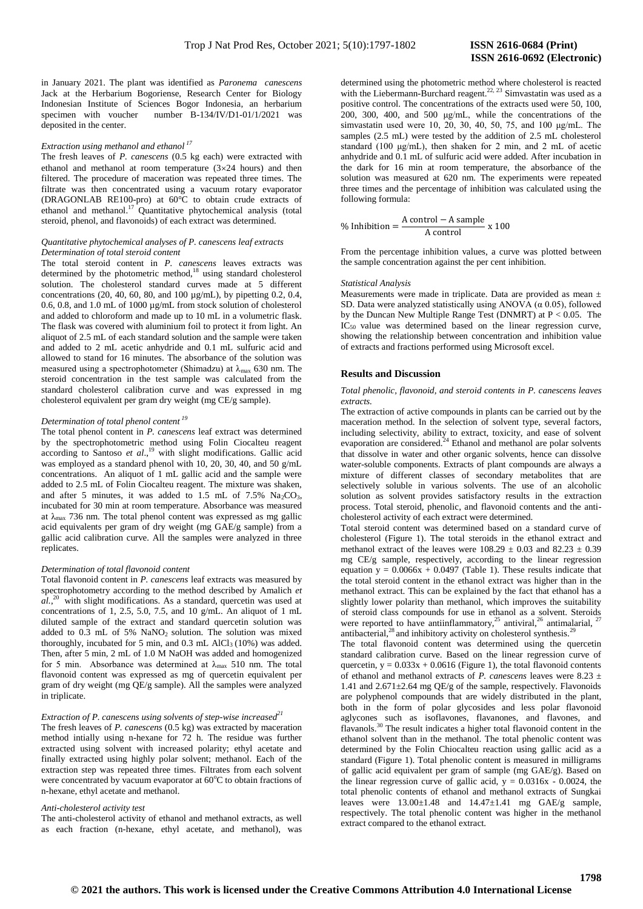in January 2021. The plant was identified as *Paronema canescens*  Jack at the Herbarium Bogoriense, Research Center for Biology Indonesian Institute of Sciences Bogor Indonesia, an herbarium specimen with voucher number B-134/IV/D1-01/1/2021 was deposited in the center.

# *Extraction using methanol and ethanol <sup>17</sup>*

The fresh leaves of *P. canescens* (0.5 kg each) were extracted with ethanol and methanol at room temperature  $(3\times24$  hours) and then filtered. The procedure of maceration was repeated three times. The filtrate was then concentrated using a vacuum rotary evaporator (DRAGONLAB RE100-pro) at 60°C to obtain crude extracts of ethanol and methanol.<sup>17</sup> Quantitative phytochemical analysis (total steroid, phenol, and flavonoids) of each extract was determined.

### *Quantitative phytochemical analyses of P. canescens leaf extracts Determination of total steroid content*

The total steroid content in *P. canescens* leaves extracts was determined by the photometric method,<sup>18</sup> using standard cholesterol solution. The cholesterol standard curves made at 5 different concentrations (20, 40, 60, 80, and 100 µg/mL), by pipetting 0.2, 0.4, 0.6, 0.8, and 1.0 mL of 1000 µg/mL from stock solution of cholesterol and added to chloroform and made up to 10 mL in a volumetric flask. The flask was covered with aluminium foil to protect it from light. An aliquot of 2.5 mL of each standard solution and the sample were taken and added to 2 mL acetic anhydride and 0.1 mL sulfuric acid and allowed to stand for 16 minutes. The absorbance of the solution was measured using a spectrophotometer (Shimadzu) at  $\lambda_{\text{max}}$  630 nm. The steroid concentration in the test sample was calculated from the standard cholesterol calibration curve and was expressed in mg cholesterol equivalent per gram dry weight (mg CE/g sample).

# *Determination of total phenol content <sup>19</sup>*

The total phenol content in *P. canescens* leaf extract was determined by the spectrophotometric method using Folin Ciocalteu reagent according to Santoso *et al*., <sup>19</sup> with slight modifications. Gallic acid was employed as a standard phenol with 10, 20, 30, 40, and 50 g/mL concentrations. An aliquot of 1 mL gallic acid and the sample were added to 2.5 mL of Folin Ciocalteu reagent. The mixture was shaken, and after 5 minutes, it was added to 1.5 mL of 7.5%  $Na<sub>2</sub>CO<sub>3</sub>$ , incubated for 30 min at room temperature. Absorbance was measured at λmax 736 nm. The total phenol content was expressed as mg gallic acid equivalents per gram of dry weight (mg GAE/g sample) from a gallic acid calibration curve. All the samples were analyzed in three replicates.

### *Determination of total flavonoid content*

Total flavonoid content in *P. canescens* leaf extracts was measured by spectrophotometry according to the method described by Amalich *et*   $aL$ ,<sup>20</sup> with slight modifications. As a standard, quercetin was used at concentrations of 1, 2.5, 5.0, 7.5, and 10 g/mL. An aliquot of 1 mL diluted sample of the extract and standard quercetin solution was added to  $0.3$  mL of 5%  $NaNO<sub>2</sub>$  solution. The solution was mixed thoroughly, incubated for 5 min, and 0.3 mL AlCl<sub>3</sub> (10%) was added. Then, after 5 min, 2 mL of 1.0 M NaOH was added and homogenized for 5 min. Absorbance was determined at  $\lambda_{\text{max}}$  510 nm. The total flavonoid content was expressed as mg of quercetin equivalent per gram of dry weight (mg QE/g sample). All the samples were analyzed in triplicate.

# *Extraction of P. canescens using solvents of step-wise increased<sup>21</sup>*

The fresh leaves of *P. canescens* (0.5 kg) was extracted by maceration method intially using n-hexane for 72 h. The residue was further extracted using solvent with increased polarity; ethyl acetate and finally extracted using highly polar solvent; methanol. Each of the extraction step was repeated three times. Filtrates from each solvent were concentrated by vacuum evaporator at  $60^{\circ}$ C to obtain fractions of n-hexane, ethyl acetate and methanol.

## *Anti-cholesterol activity test*

The anti-cholesterol activity of ethanol and methanol extracts, as well as each fraction (n-hexane, ethyl acetate, and methanol), was determined using the photometric method where cholesterol is reacted with the Liebermann-Burchard reagent.<sup>22, 23</sup> Simvastatin was used as a  $\alpha$ positive control. The concentrations of the extracts used were 50, 100, 200, 300, 400, and 500 μg/mL, while the concentrations of the simvastatin used were 10, 20, 30, 40, 50, 75, and 100 μg/mL. The samples (2.5 mL) were tested by the addition of 2.5 mL cholesterol standard (100 μg/mL), then shaken for 2 min, and 2 mL of acetic anhydride and 0.1 mL of sulfuric acid were added. After incubation in the dark for 16 min at room temperature, the absorbance of the solution was measured at 620 nm. The experiments were repeated three times and the percentage of inhibition was calculated using the following formula:

$$
\% Inhibition = \frac{A control - A sample}{A control} \times 100
$$

From the percentage inhibition values, a curve was plotted between the sample concentration against the per cent inhibition.

#### *Statistical Analysis*

Measurements were made in triplicate. Data are provided as mean  $\pm$ SD. Data were analyzed statistically using ANOVA ( $\alpha$  0.05), followed by the Duncan New Multiple Range Test (DNMRT) at P < 0.05. The IC<sub>50</sub> value was determined based on the linear regression curve, showing the relationship between concentration and inhibition value of extracts and fractions performed using Microsoft excel.

# **Results and Discussion**

## *Total phenolic, flavonoid, and steroid contents in P. canescens leaves extracts.*

The extraction of active compounds in plants can be carried out by the maceration method. In the selection of solvent type, several factors, including selectivity, ability to extract, toxicity, and ease of solvent evaporation are considered.<sup>24</sup> Ethanol and methanol are polar solvents that dissolve in water and other organic solvents, hence can dissolve water-soluble components. Extracts of plant compounds are always a mixture of different classes of secondary metabolites that are selectively soluble in various solvents. The use of an alcoholic solution as solvent provides satisfactory results in the extraction process. Total steroid, phenolic, and flavonoid contents and the anticholesterol activity of each extract were determined.

Total steroid content was determined based on a standard curve of cholesterol (Figure 1). The total steroids in the ethanol extract and methanol extract of the leaves were  $108.29 \pm 0.03$  and  $82.23 \pm 0.39$ mg CE/g sample, respectively, according to the linear regression equation  $y = 0.0066x + 0.0497$  (Table 1). These results indicate that the total steroid content in the ethanol extract was higher than in the methanol extract. This can be explained by the fact that ethanol has a slightly lower polarity than methanol, which improves the suitability of steroid class compounds for use in ethanol as a solvent. Steroids were reported to have antiinflammatory,<sup>25</sup> antiviral,<sup>26</sup> antimalarial, <sup>27</sup> antibacterial, $^{28}$  and inhibitory activity on cholesterol synthesis.<sup>29</sup>

The total flavonoid content was determined using the quercetin standard calibration curve. Based on the linear regression curve of quercetin,  $y = 0.033x + 0.0616$  (Figure 1), the total flavonoid contents of ethanol and methanol extracts of *P. canescens* leaves were 8.23 ± 1.41 and 2.671±2.64 mg QE/g of the sample, respectively. Flavonoids are polyphenol compounds that are widely distributed in the plant, both in the form of polar glycosides and less polar flavonoid aglycones such as isoflavones, flavanones, and flavones, and flavanols.<sup>30</sup> The result indicates a higher total flavonoid content in the ethanol solvent than in the methanol. The total phenolic content was determined by the Folin Chiocalteu reaction using gallic acid as a standard (Figure 1). Total phenolic content is measured in milligrams of gallic acid equivalent per gram of sample (mg GAE/g). Based on the linear regression curve of gallic acid,  $y = 0.0316x - 0.0024$ , the total phenolic contents of ethanol and methanol extracts of Sungkai leaves were 13.00±1.48 and 14.47±1.41 mg GAE/g sample, respectively. The total phenolic content was higher in the methanol extract compared to the ethanol extract.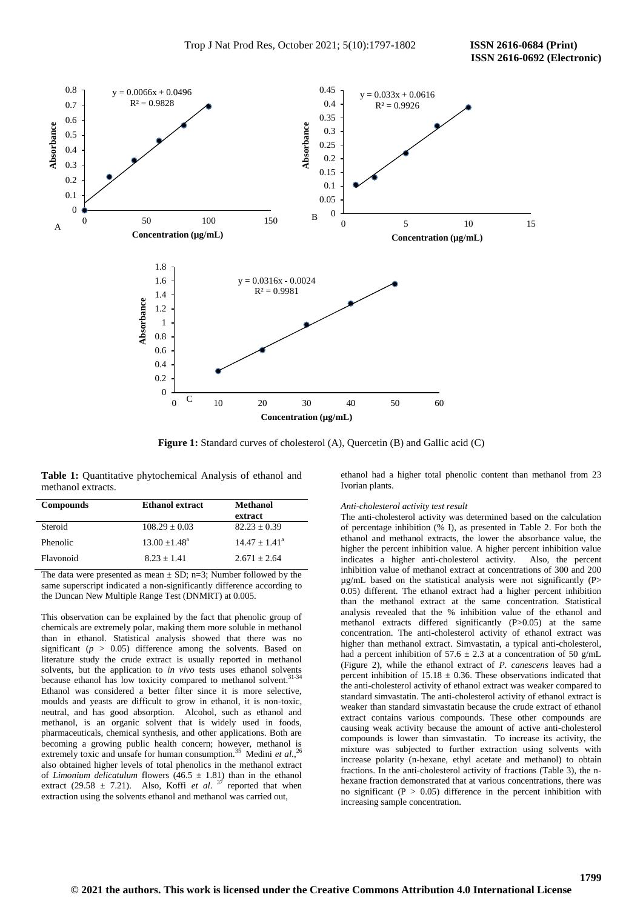

Figure 1: Standard curves of cholesterol (A), Quercetin (B) and Gallic acid (C)

**Table 1:** Quantitative phytochemical Analysis of ethanol and methanol extracts.

| <b>Compounds</b> | <b>Ethanol extract</b> | <b>Methanol</b><br>extract |
|------------------|------------------------|----------------------------|
| Steroid          | $108.29 \pm 0.03$      | $82.23 \pm 0.39$           |
| Phenolic         | $13.00 + 1.48^a$       | $14.47 + 1.41^a$           |
| Flavonoid        | $8.23 + 1.41$          | $2.671 + 2.64$             |
| --               | $\sim$<br>- --<br>$-$  | .                          |

The data were presented as mean  $\pm$  SD; n=3; Number followed by the same superscript indicated a non-significantly difference according to the Duncan New Multiple Range Test (DNMRT) at 0.005.

This observation can be explained by the fact that phenolic group of chemicals are extremely polar, making them more soluble in methanol than in ethanol. Statistical analysis showed that there was no significant ( $p > 0.05$ ) difference among the solvents. Based on literature study the crude extract is usually reported in methanol solvents, but the application to *in vivo* tests uses ethanol solvents because ethanol has low toxicity compared to methanol solvent.<sup>31-34</sup> Ethanol was considered a better filter since it is more selective, moulds and yeasts are difficult to grow in ethanol, it is non-toxic, neutral, and has good absorption. Alcohol, such as ethanol and methanol, is an organic solvent that is widely used in foods, pharmaceuticals, chemical synthesis, and other applications. Both are becoming a growing public health concern; however, methanol is extremely toxic and unsafe for human consumption.<sup>35</sup> Medini *et al.*,<sup>26</sup> also obtained higher levels of total phenolics in the methanol extract of *Limonium delicatulum* flowers (46.5  $\pm$  1.81) than in the ethanol extract (29.58  $\pm$  7.21). Also, Koffi *et al.* <sup>37</sup> reported that when extraction using the solvents ethanol and methanol was carried out,

ethanol had a higher total phenolic content than methanol from 23 Ivorian plants.

#### *Anti-cholesterol activity test result*

The anti-cholesterol activity was determined based on the calculation of percentage inhibition (% I), as presented in Table 2. For both the ethanol and methanol extracts, the lower the absorbance value, the higher the percent inhibition value. A higher percent inhibition value indicates a higher anti-cholesterol activity. Also, the percent inhibition value of methanol extract at concentrations of 300 and 200  $\mu$ g/mL based on the statistical analysis were not significantly (P $>$ 0.05) different. The ethanol extract had a higher percent inhibition than the methanol extract at the same concentration. Statistical analysis revealed that the % inhibition value of the ethanol and methanol extracts differed significantly (P>0.05) at the same concentration. The anti-cholesterol activity of ethanol extract was higher than methanol extract. Simvastatin, a typical anti-cholesterol, had a percent inhibition of 57.6  $\pm$  2.3 at a concentration of 50 g/mL (Figure 2), while the ethanol extract of *P. canescens* leaves had a percent inhibition of  $15.18 \pm 0.36$ . These observations indicated that the anti-cholesterol activity of ethanol extract was weaker compared to standard simvastatin. The anti-cholesterol activity of ethanol extract is weaker than standard simvastatin because the crude extract of ethanol extract contains various compounds. These other compounds are causing weak activity because the amount of active anti-cholesterol compounds is lower than simvastatin. To increase its activity, the mixture was subjected to further extraction using solvents with increase polarity (n-hexane, ethyl acetate and methanol) to obtain fractions. In the anti-cholesterol activity of fractions (Table 3), the nhexane fraction demonstrated that at various concentrations, there was no significant ( $P > 0.05$ ) difference in the percent inhibition with increasing sample concentration.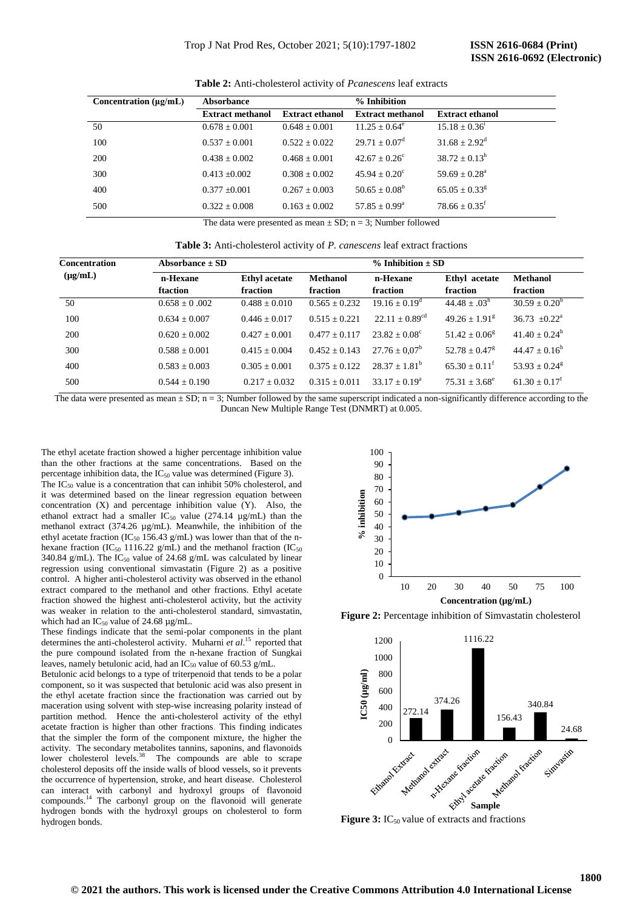| <b>Extract methanol</b><br><b>Extract ethanol</b><br><b>Extract ethanol</b><br><b>Extract methanol</b><br>$15.18 \pm 0.36^1$<br>50<br>$11.25 \pm 0.64^e$<br>$0.678 \pm 0.001$<br>$0.648 \pm 0.001$<br>$31.68 + 2.92^d$<br>$29.71 + 0.07^d$<br>100<br>$0.522 + 0.022$<br>$0.537 + 0.001$ | Concentration $(\mu \varrho/mL)$ |  | <b>Absorbance</b> |  | % Inhibition |  |
|-----------------------------------------------------------------------------------------------------------------------------------------------------------------------------------------------------------------------------------------------------------------------------------------|----------------------------------|--|-------------------|--|--------------|--|
|                                                                                                                                                                                                                                                                                         |                                  |  |                   |  |              |  |
|                                                                                                                                                                                                                                                                                         |                                  |  |                   |  |              |  |
|                                                                                                                                                                                                                                                                                         |                                  |  |                   |  |              |  |
| $38.72 + 0.13^h$<br>$42.67 + 0.26^{\circ}$<br>200<br>$0.438 + 0.002$<br>$0.468 + 0.001$                                                                                                                                                                                                 |                                  |  |                   |  |              |  |
| $45.94 + 0.20^{\circ}$<br>$59.69 \pm 0.28^{\circ}$<br>300<br>$0.308 + 0.002$<br>$0.413 \pm 0.002$                                                                                                                                                                                       |                                  |  |                   |  |              |  |
| $50.65 + 0.08^b$<br>$65.05 + 0.33$ <sup>g</sup><br>400<br>$0.267 + 0.003$<br>$0.377 \pm 0.001$                                                                                                                                                                                          |                                  |  |                   |  |              |  |
| $78.66 + 0.35$ <sup>t</sup><br>$57.85 + 0.99^{\circ}$<br>500<br>$0.322 \pm 0.008$<br>$0.163 + 0.002$                                                                                                                                                                                    |                                  |  |                   |  |              |  |

**Table 2:** Anti-cholesterol activity of *Pcanescens* leaf extracts

The data were presented as mean  $\pm$  SD; n = 3; Number followed

**Table 3:** Anti-cholesterol activity of *P. canescens* leaf extract fractions

| <b>Concentration</b> | Absorbance $\pm$ SD |                      |                   | $% Inhibition \pm SD$       |                             |                             |
|----------------------|---------------------|----------------------|-------------------|-----------------------------|-----------------------------|-----------------------------|
| $(\mu g/mL)$         | n-Hexane            | <b>Ethyl</b> acetate | <b>Methanol</b>   | n-Hexane                    | Ethyl acetate               | <b>Methanol</b>             |
|                      | ftaction            | fraction             | fraction          | fraction                    | fraction                    | fraction                    |
| 50                   | $0.658 \pm 0.002$   | $0.488 + 0.010$      | $0.565 + 0.232$   | $19.16 \pm 0.19^{\text{d}}$ | $44.48 \pm .03^h$           | $30.59 \pm 0.20^b$          |
| 100                  | $0.634 + 0.007$     | $0.446 + 0.017$      | $0.515 + 0.221$   | $22.11 + 0.89^{cd}$         | $49.26 + 1.91g$             | $36.73 + 0.22^a$            |
| <b>200</b>           | $0.620 + 0.002$     | $0.427 + 0.001$      | $0.477 + 0.117$   | $23.82 + 0.08^{\circ}$      | $51.42 + 0.06^8$            | $41.40 \pm 0.24^{\rm h}$    |
| 300                  | $0.588 \pm 0.001$   | $0.415 + 0.004$      | $0.452 \pm 0.143$ | $27.76 \pm 0.07^{\rm b}$    | $52.78 + 0.47$ <sup>g</sup> | $44.47 + 0.16^h$            |
| 400                  | $0.583 + 0.003$     | $0.305 + 0.001$      | $0.375 + 0.122$   | $28.37 + 1.81^b$            | $65.30 + 0.11^{\mathrm{f}}$ | $53.93 + 0.24$ <sup>g</sup> |
| 500                  | $0.544 \pm 0.190$   | $0.217 + 0.032$      | $0.315 + 0.011$   | $33.17 + 0.19^a$            | $75.31 + 3.68^e$            | $61.30 + 0.17^t$            |

The data were presented as mean  $\pm$  SD; n = 3; Number followed by the same superscript indicated a non-significantly difference according to the Duncan New Multiple Range Test (DNMRT) at 0.005.

The ethyl acetate fraction showed a higher percentage inhibition value than the other fractions at the same concentrations. Based on the percentage inhibition data, the IC<sub>50</sub> value was determined (Figure 3).

The IC<sup>50</sup> value is a concentration that can inhibit 50% cholesterol, and it was determined based on the linear regression equation between concentration (X) and percentage inhibition value (Y). Also, the ethanol extract had a smaller  $IC_{50}$  value (274.14  $\mu$ g/mL) than the methanol extract (374.26 µg/mL). Meanwhile, the inhibition of the ethyl acetate fraction (IC<sub>50</sub> 156.43 g/mL) was lower than that of the nhexane fraction (IC<sub>50</sub> 1116.22 g/mL) and the methanol fraction (IC<sub>50</sub> 340.84 g/mL). The  $IC_{50}$  value of 24.68 g/mL was calculated by linear regression using conventional simvastatin (Figure 2) as a positive control. A higher anti-cholesterol activity was observed in the ethanol extract compared to the methanol and other fractions. Ethyl acetate fraction showed the highest anti-cholesterol activity, but the activity was weaker in relation to the anti-cholesterol standard, simvastatin, which had an  $IC_{50}$  value of 24.68  $\mu$ g/mL.

These findings indicate that the semi-polar components in the plant determines the anti-cholesterol activity. Muharni *et al.*<sup>15</sup> reported that the pure compound isolated from the n-hexane fraction of Sungkai leaves, namely betulonic acid, had an  $IC_{50}$  value of 60.53 g/mL.

Betulonic acid belongs to a type of triterpenoid that tends to be a polar component, so it was suspected that betulonic acid was also present in the ethyl acetate fraction since the fractionation was carried out by maceration using solvent with step-wise increasing polarity instead of partition method. Hence the anti-cholesterol activity of the ethyl acetate fraction is higher than other fractions. This finding indicates that the simpler the form of the component mixture, the higher the activity. The secondary metabolites tannins, saponins, and flavonoids lower cholesterol levels.<sup>38</sup> The compounds are able to scrape The compounds are able to scrape cholesterol deposits off the inside walls of blood vessels, so it prevents the occurrence of hypertension, stroke, and heart disease. Cholesterol can interact with carbonyl and hydroxyl groups of flavonoid compounds.<sup>14</sup> The carbonyl group on the flavonoid will generate hydrogen bonds with the hydroxyl groups on cholesterol to form hydrogen bonds.



**Figure 2:** Percentage inhibition of Simvastatin cholesterol



**Figure 3:** IC<sub>50</sub> value of extracts and fractions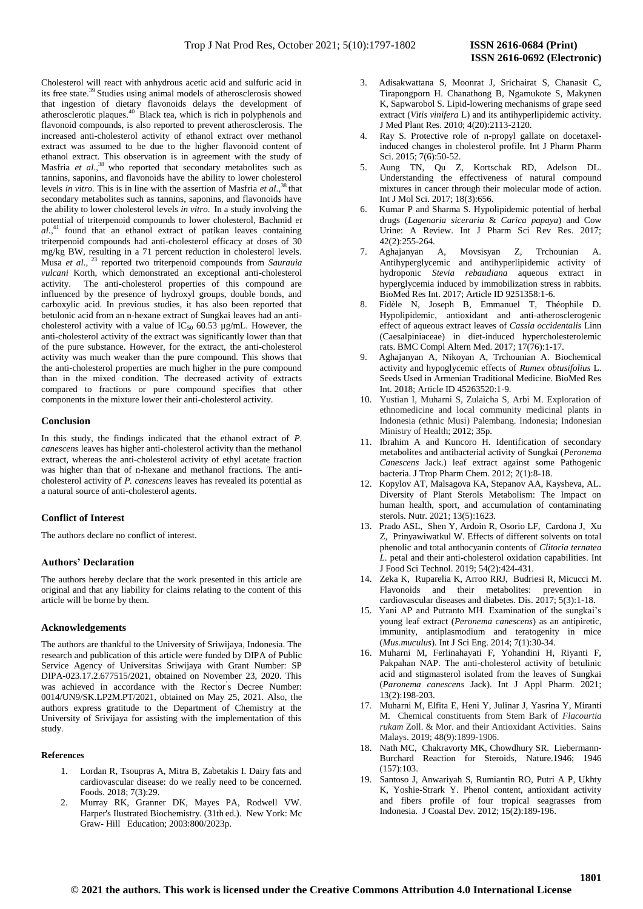Cholesterol will react with anhydrous acetic acid and sulfuric acid in its free state. <sup>39</sup> Studies using animal models of atherosclerosis showed that ingestion of dietary flavonoids delays the development of atherosclerotic plaques.<sup>40</sup> Black tea, which is rich in polyphenols and flavonoid compounds, is also reported to prevent atherosclerosis. The increased anti-cholesterol activity of ethanol extract over methanol extract was assumed to be due to the higher flavonoid content of ethanol extract. This observation is in agreement with the study of Masfria et al.,<sup>38</sup> who reported that secondary metabolites such as tannins, saponins, and flavonoids have the ability to lower cholesterol levels *in vitro*. This is in line with the assertion of Masfria *et al.*,<sup>38</sup> that secondary metabolites such as tannins, saponins, and flavonoids have the ability to lower cholesterol levels *in vitro*. In a study involving the potential of triterpenoid compounds to lower cholesterol, Bachmid *et*  al.<sup>41</sup> found that an ethanol extract of patikan leaves containing triterpenoid compounds had anti-cholesterol efficacy at doses of 30 mg/kg BW, resulting in a 71 percent reduction in cholesterol levels. Musa *et al*., <sup>23</sup> reported two triterpenoid compounds from *Saurauia vulcani* Korth, which demonstrated an exceptional anti-cholesterol activity. The anti-cholesterol properties of this compound are influenced by the presence of hydroxyl groups, double bonds, and carboxylic acid. In previous studies, it has also been reported that betulonic acid from an n-hexane extract of Sungkai leaves had an anticholesterol activity with a value of  $IC_{50}$  60.53 µg/mL. However, the anti-cholesterol activity of the extract was significantly lower than that of the pure substance. However, for the extract, the anti-cholesterol activity was much weaker than the pure compound. This shows that the anti-cholesterol properties are much higher in the pure compound than in the mixed condition. The decreased activity of extracts compared to fractions or pure compound specifies that other components in the mixture lower their anti-cholesterol activity.

## **Conclusion**

In this study, the findings indicated that the ethanol extract of *P. canescens* leaves has higher anti-cholesterol activity than the methanol extract, whereas the anti-cholesterol activity of ethyl acetate fraction was higher than that of n-hexane and methanol fractions. The anticholesterol activity of *P. canescens* leaves has revealed its potential as a natural source of anti-cholesterol agents.

## **Conflict of Interest**

The authors declare no conflict of interest.

#### **Authors' Declaration**

The authors hereby declare that the work presented in this article are original and that any liability for claims relating to the content of this article will be borne by them.

## **Acknowledgements**

The authors are thankful to the University of Sriwijaya, Indonesia. The research and publication of this article were funded by DIPA of Public Service Agency of Universitas Sriwijaya with Grant Number: SP DIPA-023.17.2.677515/2021, obtained on November 23, 2020. This was achieved in accordance with the Rector' s Decree Number: 0014/UN9/SK.LP2M.PT/2021, obtained on May 25, 2021. Also, the authors express gratitude to the Department of Chemistry at the University of Srivijaya for assisting with the implementation of this study.

#### **References**

- 1. Lordan R, Tsoupras A, Mitra B, Zabetakis I. Dairy fats and cardiovascular disease: do we really need to be concerned. Foods. 2018; 7(3):29.
- 2. Murray RK, Granner DK, Mayes PA, Rodwell VW. Harper's Ilustrated Biochemistry. (31th ed.). New York: Mc Graw- Hill Education; 2003:800/2023p.
- 3. Adisakwattana S, Moonrat J, Srichairat S, Chanasit C, Tirapongporn H. Chanathong B, Ngamukote S, Makynen K, Sapwarobol S. Lipid-lowering mechanisms of grape seed extract (*Vitis vinifera* L) and its antihyperlipidemic activity. J Med Plant Res. 2010; 4(20):2113-2120.
- 4. Ray S. Protective role of n-propyl gallate on docetaxelinduced changes in cholesterol profile. Int J Pharm Pharm Sci. 2015; 7(6):50-52.
- 5. Aung [TN,](https://www.ncbi.nlm.nih.gov/pubmed/?term=Aung%20TN%5BAuthor%5D&cauthor=true&cauthor_uid=28304343) Qu [Z,](https://www.ncbi.nlm.nih.gov/pubmed/?term=Qu%20Z%5BAuthor%5D&cauthor=true&cauthor_uid=28304343) Kortschak [RD,](https://www.ncbi.nlm.nih.gov/pubmed/?term=Kortschak%20RD%5BAuthor%5D&cauthor=true&cauthor_uid=28304343) Adelson DL. Understanding the effectiveness of natural compound mixtures in cancer through their molecular mode of action. [Int J Mol Sci.](https://www.ncbi.nlm.nih.gov/pmc/articles/PMC5372668/) 2017; 18(3):656.
- 6. Kumar P and Sharma S. Hypolipidemic potential of herbal drugs (*Lagenaria siceraria* & *Carica papaya*) and Cow Urine: A Review. Int J Pharm Sci Rev Res. 2017; 42(2):255-264.
- 7. Aghajanyan A, Movsisyan Z, Trchounian A. Antihyperglycemic and antihyperlipidemic activity of hydroponic *Stevia rebaudiana* aqueous extract in hyperglycemia induced by immobilization stress in rabbits. BioMed Res Int. 2017; Article ID 9251358:1-6.
- 8. Fidèle N, Joseph B, Emmanuel T, Théophile D. Hypolipidemic, antioxidant and anti-atherosclerogenic effect of aqueous extract leaves of *Cassia occidentalis* Linn (Caesalpiniaceae) in diet-induced hypercholesterolemic rats. BMC Compl Altern Med. 2017; 17(76):1-17.
- 9. Aghajanyan A, Nikoyan A, Trchounian A. Biochemical activity and hypoglycemic effects of *Rumex obtusifolius* L. Seeds Used in Armenian Traditional Medicine. BioMed Res Int. 2018; Article ID 45263520:1-9.
- 10. Yustian I, Muharni S, Zulaicha S, Arbi M. Exploration of ethnomedicine and local community medicinal plants in Indonesia (ethnic Musi) Palembang. Indonesia; Indonesian Ministry of Health; 2012; 35p.
- 11. Ibrahim A and Kuncoro H. Identification of secondary metabolites and antibacterial activity of Sungkai (*Peronema Canescens* Jack.) leaf extract against some Pathogenic bacteria. J Trop Pharm Chem. 2012; 2(1):8-18.
- 12. Kopylov AT, Malsagova KA, Stepanov AA, Kaysheva, AL. Diversity of Plant Sterols Metabolism: The Impact on human health, sport, and accumulation of contaminating sterols. Nutr. 2021; 13(5):1623.
- 13. [Prado](https://ifst.onlinelibrary.wiley.com/action/doSearch?ContribAuthorStored=L%C3%B3pez+Prado%2C+Adriana+S) ASL, [Shen](https://ifst.onlinelibrary.wiley.com/action/doSearch?ContribAuthorStored=Shen%2C+Yixiao) Y, [Ardoin](https://ifst.onlinelibrary.wiley.com/action/doSearch?ContribAuthorStored=Ardoin%2C+Ryan) R, [Osorio](https://ifst.onlinelibrary.wiley.com/action/doSearch?ContribAuthorStored=Osorio%2C+Luis+F) LF, [Cardona](https://ifst.onlinelibrary.wiley.com/action/doSearch?ContribAuthorStored=Cardona%2C+Jorge) J[, Xu](https://ifst.onlinelibrary.wiley.com/action/doSearch?ContribAuthorStored=Xu%2C+Zhimin) Z, [Prinyawiwatkul](https://ifst.onlinelibrary.wiley.com/action/doSearch?ContribAuthorStored=Prinyawiwatkul%2C+Witoon) W. Effects of different solvents on total phenolic and total anthocyanin contents of *Clitoria ternatea L*. petal and their anti-cholesterol oxidation capabilities. Int J Food Sci Technol. 2019; 54(2):424-431.
- 14. [Zeka](https://www.ncbi.nlm.nih.gov/pubmed/?term=Zeka%20K%5BAuthor%5D&cauthor=true&cauthor_uid=32962323) K, [Ruparelia](https://www.ncbi.nlm.nih.gov/pubmed/?term=Ruparelia%20K%5BAuthor%5D&cauthor=true&cauthor_uid=32962323) K, Arro[o RRJ, Budriesi](https://www.ncbi.nlm.nih.gov/pubmed/?term=Arroo%20RR%5BAuthor%5D&cauthor=true&cauthor_uid=32962323) R, [Micucci](https://www.ncbi.nlm.nih.gov/pubmed/?term=Micucci%20M%5BAuthor%5D&cauthor=true&cauthor_uid=32962323) M. Flavonoids and their metabolites: prevention in cardiovascular diseases and diabetes. [Dis.](https://www.ncbi.nlm.nih.gov/pmc/articles/PMC5622335/) 2017; 5(3):1-18.
- 15. Yani AP and Putranto MH. Examination of the sungkai's young leaf extract (*Peronema canescens*) as an antipiretic, immunity, antiplasmodium and teratogenity in mice (*Mus.muculus*). Int J Sci Eng. 2014; 7(1):30-34.
- 16. Muharni M, Ferlinahayati F, Yohandini H, Riyanti F, Pakpahan NAP. The anti-cholesterol activity of betulinic acid and stigmasterol isolated from the leaves of Sungkai (*Paronema canescens* Jack). Int J Appl Pharm. 2021; 13(2):198-203.
- 17. Muharni M, Elfita E, Heni Y, Julinar J, Yasrina Y, Miranti M. Chemical constituents from Stem Bark of *Flacourtia rukam* Zoll. & Mor. and their Antioxidant Activities. Sains Malays. 2019; 48(9):1899-1906.
- 18. Nat[h MC,](https://www.nature.com/articles/157103b0#auth-M__C_-NATH) [Chakravorty](https://www.nature.com/articles/157103b0#auth-M__K_-CHAKRAVORTY) MK[, Chowdhury](https://www.nature.com/articles/157103b0#auth-S__R_-CHOWDHURY) SR. Liebermann-Burchard Reaction for Steroids, [Nature](https://www.nature.com/)*.*1946; 1946 (157):103.
- 19. Santoso J, Anwariyah S, Rumiantin RO, Putri A P, Ukhty K, Yoshie-Strark Y. Phenol content, antioxidant activity and fibers profile of four tropical seagrasses from Indonesia. J Coastal Dev*.* 2012; 15(2):189-196.